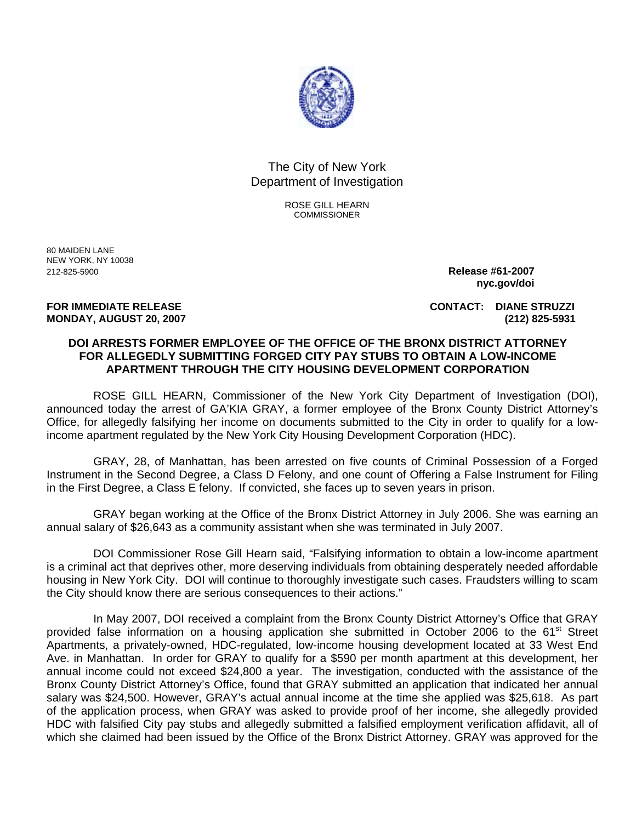

## The City of New York Department of Investigation

ROSE GILL HEARN **COMMISSIONER** 

80 MAIDEN LANE NEW YORK, NY 10038 212-825-5900 **Release #61-2007** 

 **nyc.gov/doi**

**FOR IMMEDIATE RELEASE CONTACT: DIANE STRUZZI MONDAY, AUGUST 20, 2007 (212) 825-5931** 

## **DOI ARRESTS FORMER EMPLOYEE OF THE OFFICE OF THE BRONX DISTRICT ATTORNEY FOR ALLEGEDLY SUBMITTING FORGED CITY PAY STUBS TO OBTAIN A LOW-INCOME APARTMENT THROUGH THE CITY HOUSING DEVELOPMENT CORPORATION**

ROSE GILL HEARN, Commissioner of the New York City Department of Investigation (DOI), announced today the arrest of GA'KIA GRAY, a former employee of the Bronx County District Attorney's Office, for allegedly falsifying her income on documents submitted to the City in order to qualify for a lowincome apartment regulated by the New York City Housing Development Corporation (HDC).

GRAY, 28, of Manhattan, has been arrested on five counts of Criminal Possession of a Forged Instrument in the Second Degree, a Class D Felony, and one count of Offering a False Instrument for Filing in the First Degree, a Class E felony. If convicted, she faces up to seven years in prison.

GRAY began working at the Office of the Bronx District Attorney in July 2006. She was earning an annual salary of \$26,643 as a community assistant when she was terminated in July 2007.

DOI Commissioner Rose Gill Hearn said, "Falsifying information to obtain a low-income apartment is a criminal act that deprives other, more deserving individuals from obtaining desperately needed affordable housing in New York City. DOI will continue to thoroughly investigate such cases. Fraudsters willing to scam the City should know there are serious consequences to their actions."

In May 2007, DOI received a complaint from the Bronx County District Attorney's Office that GRAY provided false information on a housing application she submitted in October 2006 to the 61<sup>st</sup> Street Apartments, a privately-owned, HDC-regulated, low-income housing development located at 33 West End Ave. in Manhattan. In order for GRAY to qualify for a \$590 per month apartment at this development, her annual income could not exceed \$24,800 a year. The investigation, conducted with the assistance of the Bronx County District Attorney's Office, found that GRAY submitted an application that indicated her annual salary was \$24,500. However, GRAY's actual annual income at the time she applied was \$25,618. As part of the application process, when GRAY was asked to provide proof of her income, she allegedly provided HDC with falsified City pay stubs and allegedly submitted a falsified employment verification affidavit, all of which she claimed had been issued by the Office of the Bronx District Attorney. GRAY was approved for the